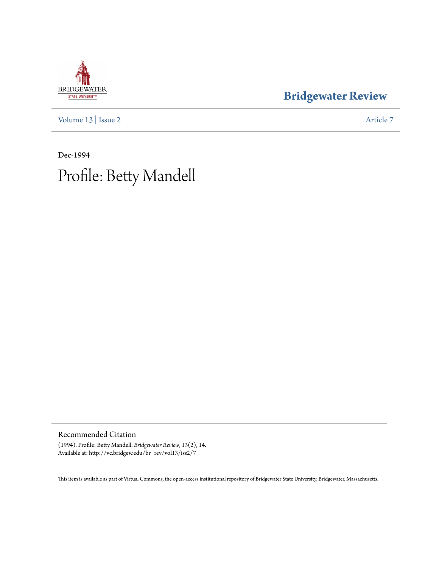# **BRIDGEWATER** STATE UNIVERSITY

### **[Bridgewater Review](http://vc.bridgew.edu/br_rev)**

[Volume 13](http://vc.bridgew.edu/br_rev/vol13) | [Issue 2](http://vc.bridgew.edu/br_rev/vol13/iss2) [Article 7](http://vc.bridgew.edu/br_rev/vol13/iss2/7)

Dec-1994 Profile: Betty Mandell

#### Recommended Citation

(1994). Profile: Betty Mandell. *Bridgewater Review*, 13(2), 14. Available at: http://vc.bridgew.edu/br\_rev/vol13/iss2/7

This item is available as part of Virtual Commons, the open-access institutional repository of Bridgewater State University, Bridgewater, Massachusetts.